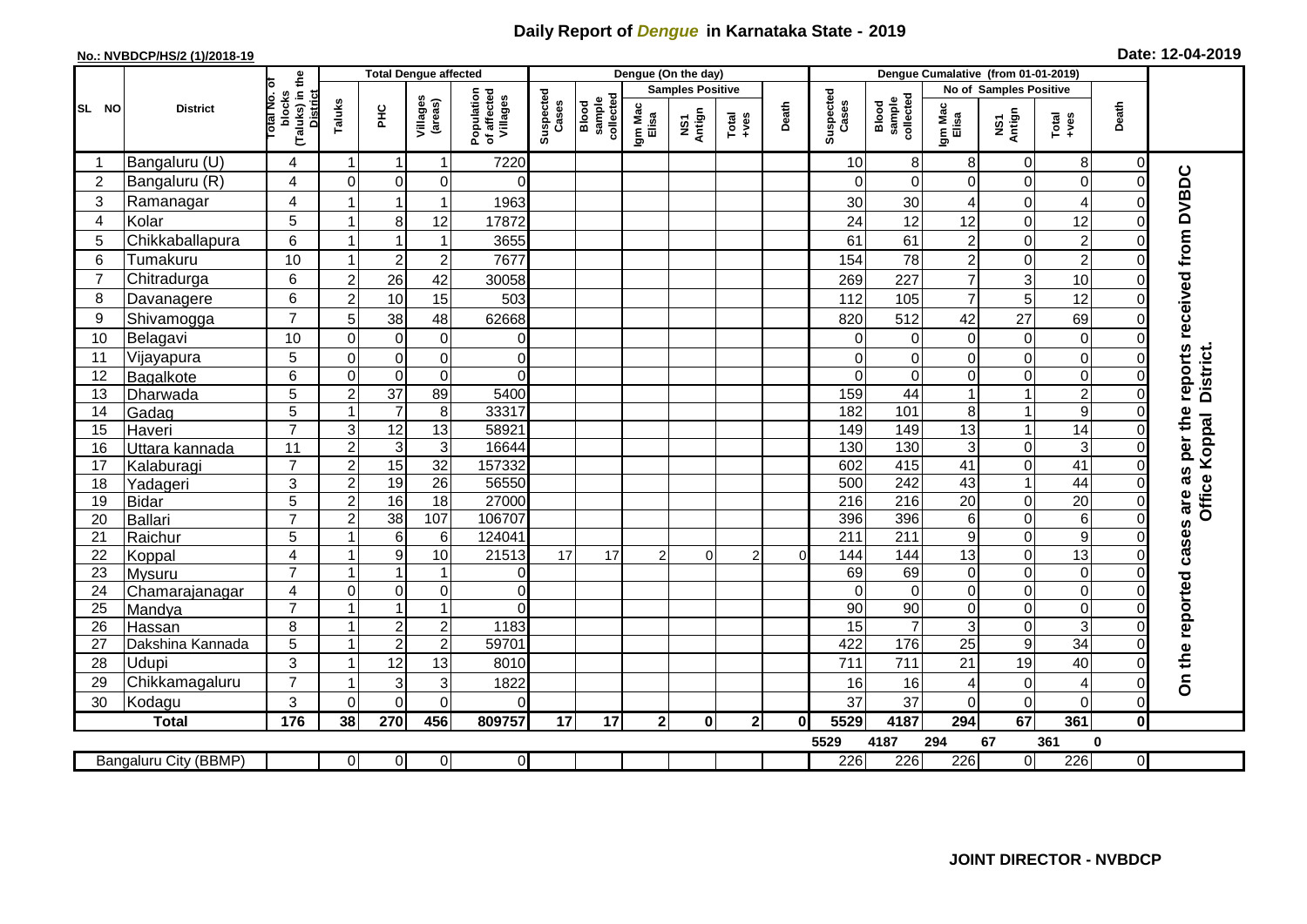## **Daily Report of** *Dengue* **in Karnataka State - 2019**

## **No.: NVBDCP/HS/2 (1)/2018-19 Date: 12-04-2019**

|                                                                                                                                                                            | <b>District</b>  | (Taluks) in the<br>District<br>ъ<br>otal No.<br>blocks |                         | <b>Total Dengue affected</b> |                         |                                       |                    |                              |                         | Dengue (On the day)              |                |       |                    |                               |                  |                  |                 |               |                                      |
|----------------------------------------------------------------------------------------------------------------------------------------------------------------------------|------------------|--------------------------------------------------------|-------------------------|------------------------------|-------------------------|---------------------------------------|--------------------|------------------------------|-------------------------|----------------------------------|----------------|-------|--------------------|-------------------------------|------------------|------------------|-----------------|---------------|--------------------------------------|
|                                                                                                                                                                            |                  |                                                        |                         |                              |                         |                                       | Suspected<br>Cases | Blood<br>sample<br>collected | <b>Samples Positive</b> |                                  |                |       |                    | <b>No of Samples Positive</b> |                  |                  |                 |               |                                      |
| SL NO                                                                                                                                                                      |                  |                                                        | Taluks                  | ΞÉ                           | Villages<br>(areas)     | Population<br>of affected<br>Villages |                    |                              | Igm Mac<br>Elisa        | Antign<br>$\overline{\text{MS}}$ | $Total$        | Death | Suspected<br>Cases | Blood<br>sample<br>collected  | Igm Mac<br>Elisa | NS1<br>Antign    | Total<br>+ves   | Death         |                                      |
| -1                                                                                                                                                                         | Bangaluru (U)    | 4                                                      | $\mathbf 1$             | $\mathbf 1$                  | $\mathbf{1}$            | 7220                                  |                    |                              |                         |                                  |                |       | 10                 | 8                             | 8                | 0                | 8               | 0             |                                      |
| $\overline{2}$                                                                                                                                                             | Bangaluru (R)    | 4                                                      | $\Omega$                | $\mathbf 0$                  | 0                       | $\Omega$                              |                    |                              |                         |                                  |                |       | $\Omega$           | $\Omega$                      | $\Omega$         | 0                | $\mathbf 0$     | $\Omega$      |                                      |
| 3                                                                                                                                                                          | Ramanagar        | 4                                                      |                         | $\overline{1}$               | $\mathbf{1}$            | 1963                                  |                    |                              |                         |                                  |                |       | 30                 | 30                            | 4                | 0                | 4               | $\Omega$      | reports received from DVBDC          |
| 4                                                                                                                                                                          | Kolar            | 5                                                      |                         | 8                            | 12                      | 17872                                 |                    |                              |                         |                                  |                |       | 24                 | 12                            | 12               | 0                | 12              | $\Omega$      |                                      |
| 5                                                                                                                                                                          | Chikkaballapura  | 6                                                      | 1                       | $\overline{1}$               | $\mathbf{1}$            | 3655                                  |                    |                              |                         |                                  |                |       | 61                 | 61                            | $\overline{c}$   | 0                | $\overline{a}$  | $\mathbf 0$   |                                      |
| 6                                                                                                                                                                          | Tumakuru         | 10                                                     | -1                      | $\overline{2}$               | $\overline{\mathbf{c}}$ | 7677                                  |                    |                              |                         |                                  |                |       | 154                | 78                            | $\overline{c}$   | 0                | $\overline{c}$  | $\mathbf 0$   |                                      |
| 7                                                                                                                                                                          | Chitradurga      | 6                                                      | $\boldsymbol{2}$        | 26                           | 42                      | 30058                                 |                    |                              |                         |                                  |                |       | 269                | 227                           | $\overline{7}$   | 3                | 10              | $\mathbf 0$   |                                      |
| 8                                                                                                                                                                          | Davanagere       | 6                                                      | $\overline{2}$          | 10                           | 15                      | 503                                   |                    |                              |                         |                                  |                |       | 112                | 105                           | $\overline{7}$   | 5                | 12              | $\mathbf 0$   |                                      |
| 9                                                                                                                                                                          | Shivamogga       | $\overline{7}$                                         | 5                       | 38                           | 48                      | 62668                                 |                    |                              |                         |                                  |                |       | 820                | 512                           | 42               | 27               | 69              | $\Omega$      |                                      |
| 10                                                                                                                                                                         | Belagavi         | 10                                                     | $\Omega$                | 0                            | $\pmb{0}$               | 0                                     |                    |                              |                         |                                  |                |       | 0                  | 0                             | 0                | 0                | 0               | C             |                                      |
| 11                                                                                                                                                                         | Vijayapura       | 5                                                      | $\Omega$                | $\mathbf 0$                  | $\mathsf 0$             | $\overline{0}$                        |                    |                              |                         |                                  |                |       | $\Omega$           | $\Omega$                      | 0                | 0                | $\mathbf 0$     | $\mathcal{C}$ | District.                            |
| 12                                                                                                                                                                         | Bagalkote        | 6                                                      | $\mathbf 0$             | $\overline{0}$               | $\overline{0}$          | $\Omega$                              |                    |                              |                         |                                  |                |       | $\Omega$           | $\overline{0}$                | $\Omega$         | $\mathbf 0$      | $\overline{0}$  | $\Omega$      |                                      |
| 13                                                                                                                                                                         | Dharwada         | 5                                                      | $\overline{2}$          | $\overline{37}$              | 89                      | 5400                                  |                    |                              |                         |                                  |                |       | 159                | 44                            |                  | $\mathbf{1}$     | $\overline{2}$  | $\Omega$      |                                      |
| 14                                                                                                                                                                         | Gadag            | $\overline{5}$                                         | $\mathbf{1}$            | $\overline{7}$               | $\overline{8}$          | 33317                                 |                    |                              |                         |                                  |                |       | 182                | 101                           | 8                | $\mathbf{1}$     | 9               | $\mathbf 0$   |                                      |
| 15                                                                                                                                                                         | Haveri           | $\overline{7}$                                         | 3                       | $\overline{12}$              | $\overline{13}$         | 58921                                 |                    |                              |                         |                                  |                |       | 149                | 149                           | 13               | $\mathbf{1}$     | $\overline{14}$ | 0             |                                      |
| 16                                                                                                                                                                         | Uttara kannada   | 11                                                     | $\overline{c}$          | $\mathbf{3}$                 | 3                       | 16644                                 |                    |                              |                         |                                  |                |       | 130                | 130                           | 3                | 0                | 3               | $\Omega$      | Office Koppal                        |
| 17                                                                                                                                                                         | Kalaburagi       | $\overline{7}$                                         | $\overline{2}$          | 15                           | 32                      | 157332                                |                    |                              |                         |                                  |                |       | 602                | 415                           | 41               | 0                | 41              | $\mathbf 0$   |                                      |
| 18                                                                                                                                                                         | Yadageri         | 3                                                      | $\overline{2}$          | 19                           | 26                      | 56550                                 |                    |                              |                         |                                  |                |       | 500                | 242                           | 43               | $\mathbf{1}$     | 44              | $\Omega$      |                                      |
| 19                                                                                                                                                                         | <b>Bidar</b>     | 5                                                      | $\overline{2}$          | 16                           | $\overline{18}$         | 27000                                 |                    |                              |                         |                                  |                |       | 216                | 216                           | 20               | 0                | $\overline{20}$ | $\mathbf 0$   |                                      |
| 20                                                                                                                                                                         | <b>Ballari</b>   | $\overline{7}$                                         | $\overline{2}$          | $\overline{38}$              | 107                     | 106707                                |                    |                              |                         |                                  |                |       | 396                | 396                           | 6                | 0                | 6               | $\mathbf 0$   |                                      |
| 21                                                                                                                                                                         | Raichur          | 5                                                      |                         | $\,6$                        | 6                       | 124041                                |                    |                              |                         |                                  |                |       | 211                | $\overline{211}$              | 9                | 0                | 9               | $\Omega$      |                                      |
| 22                                                                                                                                                                         | Koppal           | 4                                                      |                         | $\boldsymbol{9}$             | 10                      | 21513                                 | 17                 | 17                           | 2                       | 0                                | $\overline{2}$ | 0     | 144                | 144                           | 13               | 0                | 13              | $\mathbf 0$   |                                      |
| 23                                                                                                                                                                         | Mysuru           | $\overline{7}$                                         |                         | $\overline{1}$               | $\mathbf{1}$            | $\overline{0}$                        |                    |                              |                         |                                  |                |       | 69                 | 69                            | $\mathbf 0$      | 0                | $\overline{0}$  | $\mathbf 0$   |                                      |
| 24                                                                                                                                                                         | Chamarajanagar   | 4                                                      | $\mathbf 0$             | $\pmb{0}$                    | $\overline{0}$          | $\overline{0}$                        |                    |                              |                         |                                  |                |       | $\Omega$           | $\mathbf 0$                   | 0                | 0                | $\overline{0}$  | $\mathbf 0$   |                                      |
| 25                                                                                                                                                                         | Mandya           | $\overline{7}$                                         | $\overline{\mathbf{A}}$ | $\overline{1}$               | $\mathbf{1}$            | $\Omega$                              |                    |                              |                         |                                  |                |       | 90                 | $\overline{90}$               | 0                | 0                | $\overline{0}$  | 0             |                                      |
| 26                                                                                                                                                                         | Hassan           | 8                                                      | $\overline{1}$          | $\sqrt{2}$                   | $\sqrt{2}$              | 1183                                  |                    |                              |                         |                                  |                |       | 15                 | $\overline{7}$                | 3                | 0                | ვ               | $\Omega$      |                                      |
| 27                                                                                                                                                                         | Dakshina Kannada | 5                                                      |                         | $\overline{2}$               | $\sqrt{2}$              | 59701                                 |                    |                              |                         |                                  |                |       | 422                | 176                           | 25               | $\boldsymbol{9}$ | $\overline{34}$ | $\mathbf 0$   |                                      |
| 28                                                                                                                                                                         | Udupi            | 3<br>$\overline{7}$                                    |                         | 12                           | 13                      | 8010                                  |                    |                              |                         |                                  |                |       | 711                | 711                           | 21               | 19               | 40              | $\Omega$      | On the reported cases are as per the |
| 29                                                                                                                                                                         | Chikkamagaluru   |                                                        |                         | 3                            | 3                       | 1822                                  |                    |                              |                         |                                  |                |       | 16                 | 16                            | 4                | 0                | 4               | $\Omega$      |                                      |
| 30                                                                                                                                                                         | Kodagu           | 3                                                      | $\Omega$                | $\mathbf{0}$                 | 0                       | $\Omega$                              |                    |                              |                         |                                  |                |       | 37                 | 37                            | $\Omega$         | $\mathbf 0$      | $\overline{0}$  | $\Omega$      |                                      |
| 456<br>67<br>176<br>38<br>270<br>17<br>4187<br>361<br>$\mathbf 0$<br><b>Total</b><br>809757<br>17<br>$\mathbf{2}$<br>$\bf{0}$<br>2 <sub>1</sub><br>5529<br>294<br>$\bf{0}$ |                  |                                                        |                         |                              |                         |                                       |                    |                              |                         |                                  |                |       |                    |                               |                  |                  |                 |               |                                      |
| 5529<br>4187<br>294<br>361<br>67<br>$\mathbf 0$                                                                                                                            |                  |                                                        |                         |                              |                         |                                       |                    |                              |                         |                                  |                |       |                    |                               |                  |                  |                 |               |                                      |
| 226<br>$\overline{0}$<br>$\overline{O}$<br>226<br>226<br>$\overline{226}$<br>$\Omega$<br>$\overline{0}$<br>Bangaluru City (BBMP)<br>$\Omega$<br>$\overline{0}$             |                  |                                                        |                         |                              |                         |                                       |                    |                              |                         |                                  |                |       |                    |                               |                  |                  |                 |               |                                      |